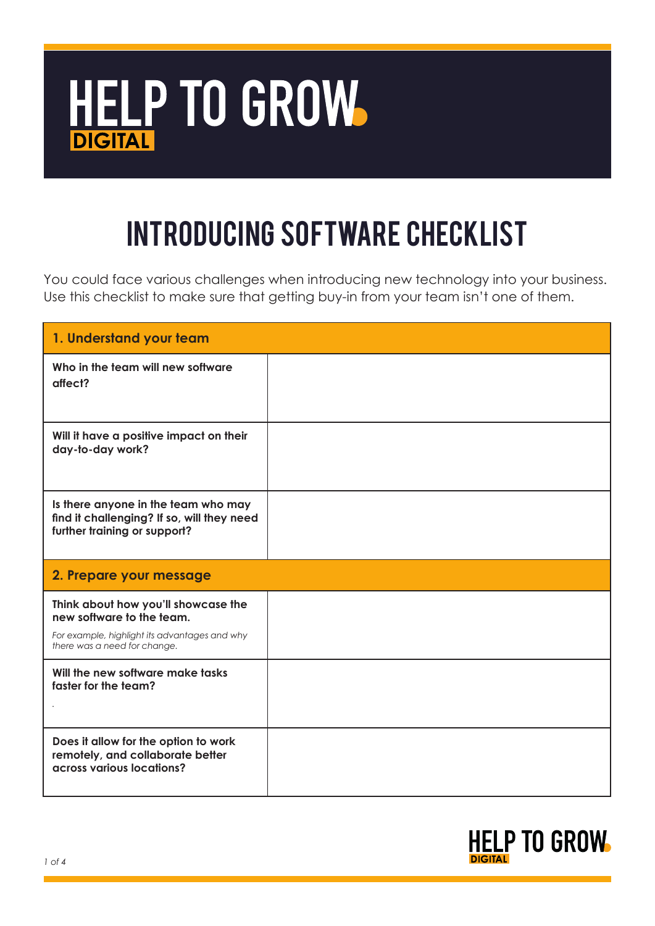

## Introducing Software Checklist

You could face various challenges when introducing new technology into your business. Use this checklist to make sure that getting buy-in from your team isn't one of them.

| 1. Understand your team                                                                                                                           |  |
|---------------------------------------------------------------------------------------------------------------------------------------------------|--|
| Who in the team will new software<br>affect?                                                                                                      |  |
| Will it have a positive impact on their<br>day-to-day work?                                                                                       |  |
| Is there anyone in the team who may<br>find it challenging? If so, will they need<br>further training or support?                                 |  |
| 2. Prepare your message                                                                                                                           |  |
|                                                                                                                                                   |  |
| Think about how you'll showcase the<br>new software to the team.<br>For example, highlight its advantages and why<br>there was a need for change. |  |
| Will the new software make tasks<br>faster for the team?                                                                                          |  |

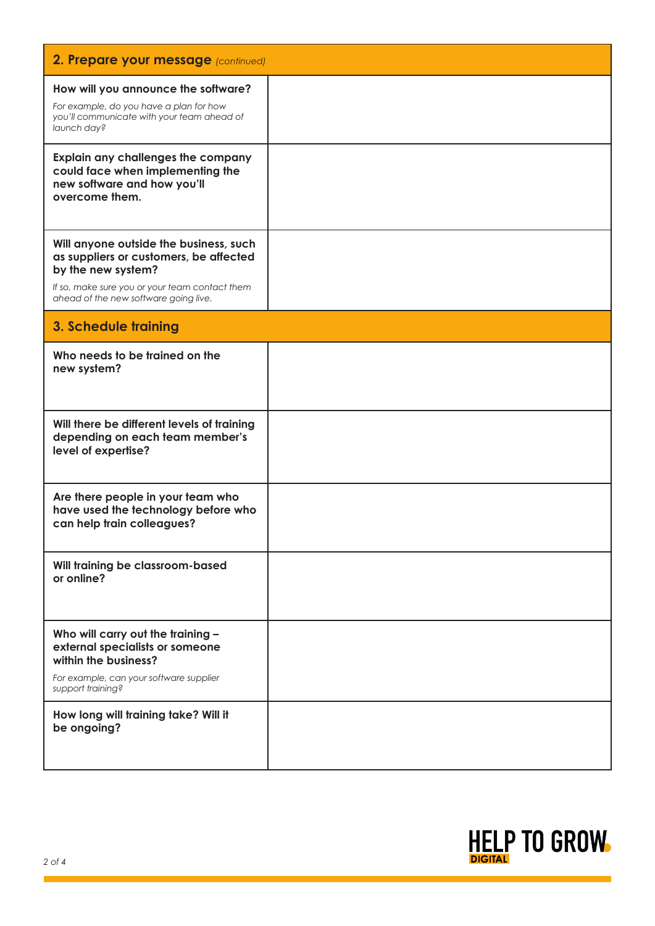| 2. Prepare your message (continued)                                                                                                                                                               |  |  |
|---------------------------------------------------------------------------------------------------------------------------------------------------------------------------------------------------|--|--|
| How will you announce the software?<br>For example, do you have a plan for how<br>you'll communicate with your team ahead of<br>launch day?                                                       |  |  |
| Explain any challenges the company<br>could face when implementing the<br>new software and how you'll<br>overcome them.                                                                           |  |  |
| Will anyone outside the business, such<br>as suppliers or customers, be affected<br>by the new system?<br>If so, make sure you or your team contact them<br>ahead of the new software going live. |  |  |
| 3. Schedule training                                                                                                                                                                              |  |  |
| Who needs to be trained on the<br>new system?                                                                                                                                                     |  |  |
| Will there be different levels of training<br>depending on each team member's<br>level of expertise?                                                                                              |  |  |
| Are there people in your team who<br>have used the technology before who<br>can help train colleagues?                                                                                            |  |  |
| Will training be classroom-based<br>or online?                                                                                                                                                    |  |  |
| Who will carry out the training -<br>external specialists or someone<br>within the business?<br>For example, can your software supplier<br>support training?                                      |  |  |
| How long will training take? Will it<br>be ongoing?                                                                                                                                               |  |  |

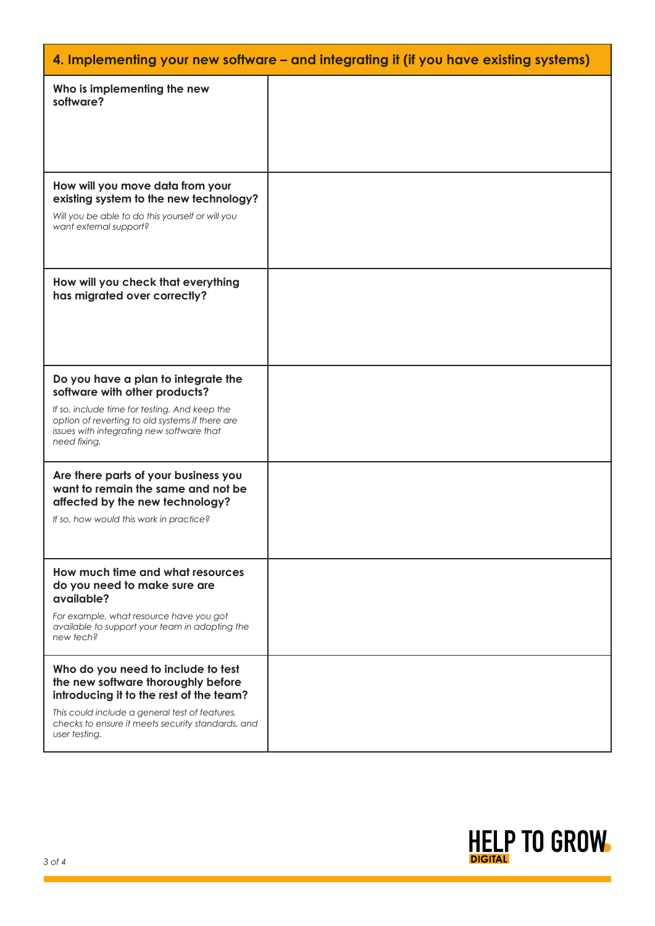| 4. Implementing your new software – and integrating it (if you have existing systems)                                                                                                                                                       |  |
|---------------------------------------------------------------------------------------------------------------------------------------------------------------------------------------------------------------------------------------------|--|
| Who is implementing the new<br>software?                                                                                                                                                                                                    |  |
| How will you move data from your<br>existing system to the new technology?<br>Will you be able to do this yourself or will you<br>want external support?                                                                                    |  |
| How will you check that everything<br>has migrated over correctly?                                                                                                                                                                          |  |
| Do you have a plan to integrate the<br>software with other products?<br>If so, include time for testing. And keep the<br>option of reverting to old systems if there are<br>issues with integrating new software that<br>need fixing.       |  |
| Are there parts of your business you<br>want to remain the same and not be<br>affected by the new technology?<br>If so, how would this work in practice?                                                                                    |  |
| How much time and what resources<br>do you need to make sure are<br>available?<br>For example, what resource have you got<br>available to support your team in adopting the<br>new tech?                                                    |  |
| Who do you need to include to test<br>the new software thoroughly before<br>introducing it to the rest of the team?<br>This could include a general test of features,<br>checks to ensure it meets security standards, and<br>user testing. |  |